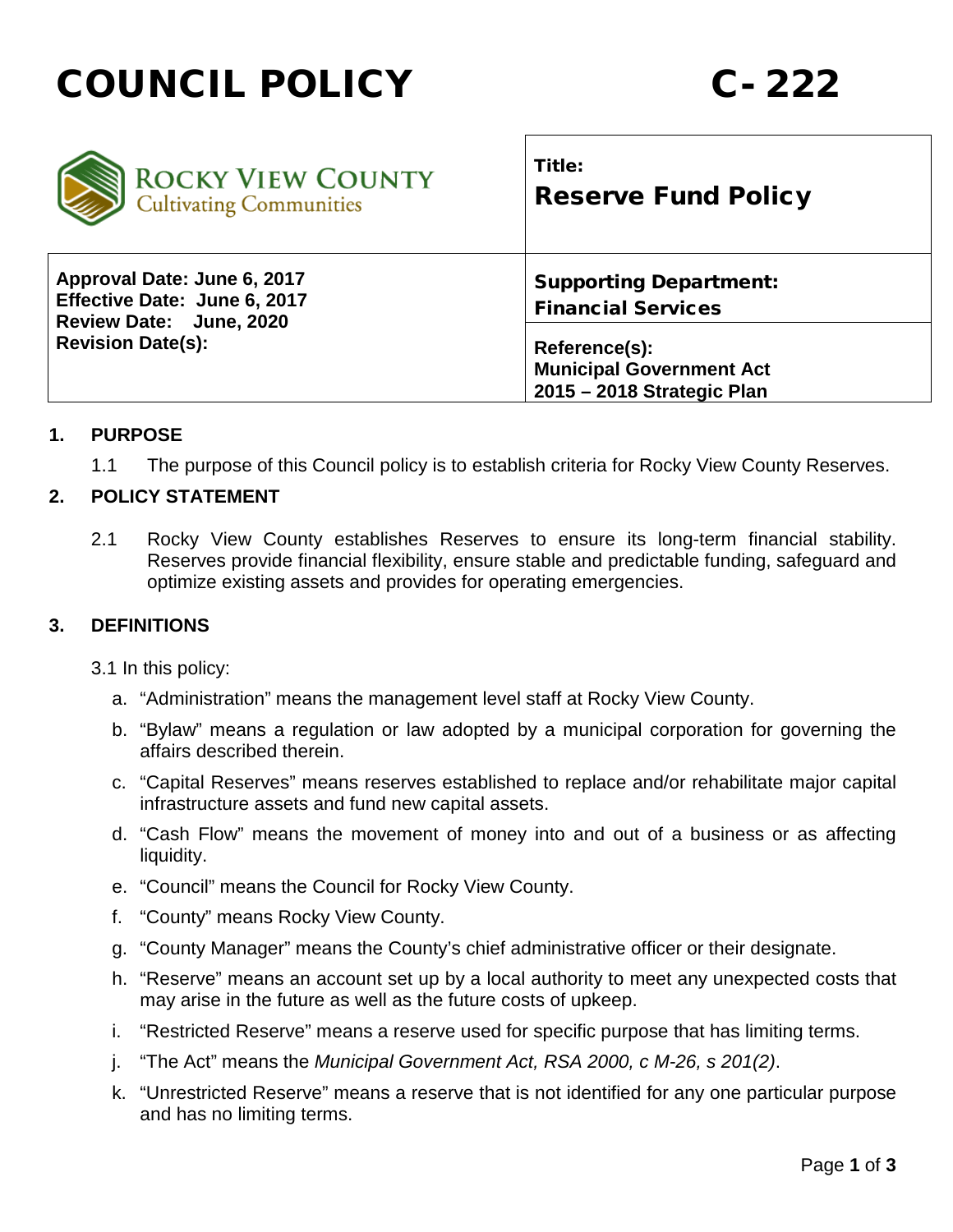



## **1. PURPOSE**

1.1 The purpose of this Council policy is to establish criteria for Rocky View County Reserves.

#### **2. POLICY STATEMENT**

2.1 Rocky View County establishes Reserves to ensure its long-term financial stability. Reserves provide financial flexibility, ensure stable and predictable funding, safeguard and optimize existing assets and provides for operating emergencies.

#### **3. DEFINITIONS**

3.1 In this policy:

- a. "Administration" means the management level staff at Rocky View County.
- b. "Bylaw" means a regulation or law adopted by a municipal corporation for governing the affairs described therein.
- c. "Capital Reserves" means reserves established to replace and/or rehabilitate major capital infrastructure assets and fund new capital assets.
- d. "Cash Flow" means the movement of money into and out of a business or as affecting liquidity.
- e. "Council" means the Council for Rocky View County.
- f. "County" means Rocky View County.
- g. "County Manager" means the County's chief administrative officer or their designate.
- h. "Reserve" means an account set up by a local authority to meet any unexpected costs that may arise in the future as well as the future costs of upkeep.
- i. "Restricted Reserve" means a reserve used for specific purpose that has limiting terms.
- j. "The Act" means the *Municipal Government Act, RSA 2000, c M-26, s 201(2)*.
- k. "Unrestricted Reserve" means a reserve that is not identified for any one particular purpose and has no limiting terms.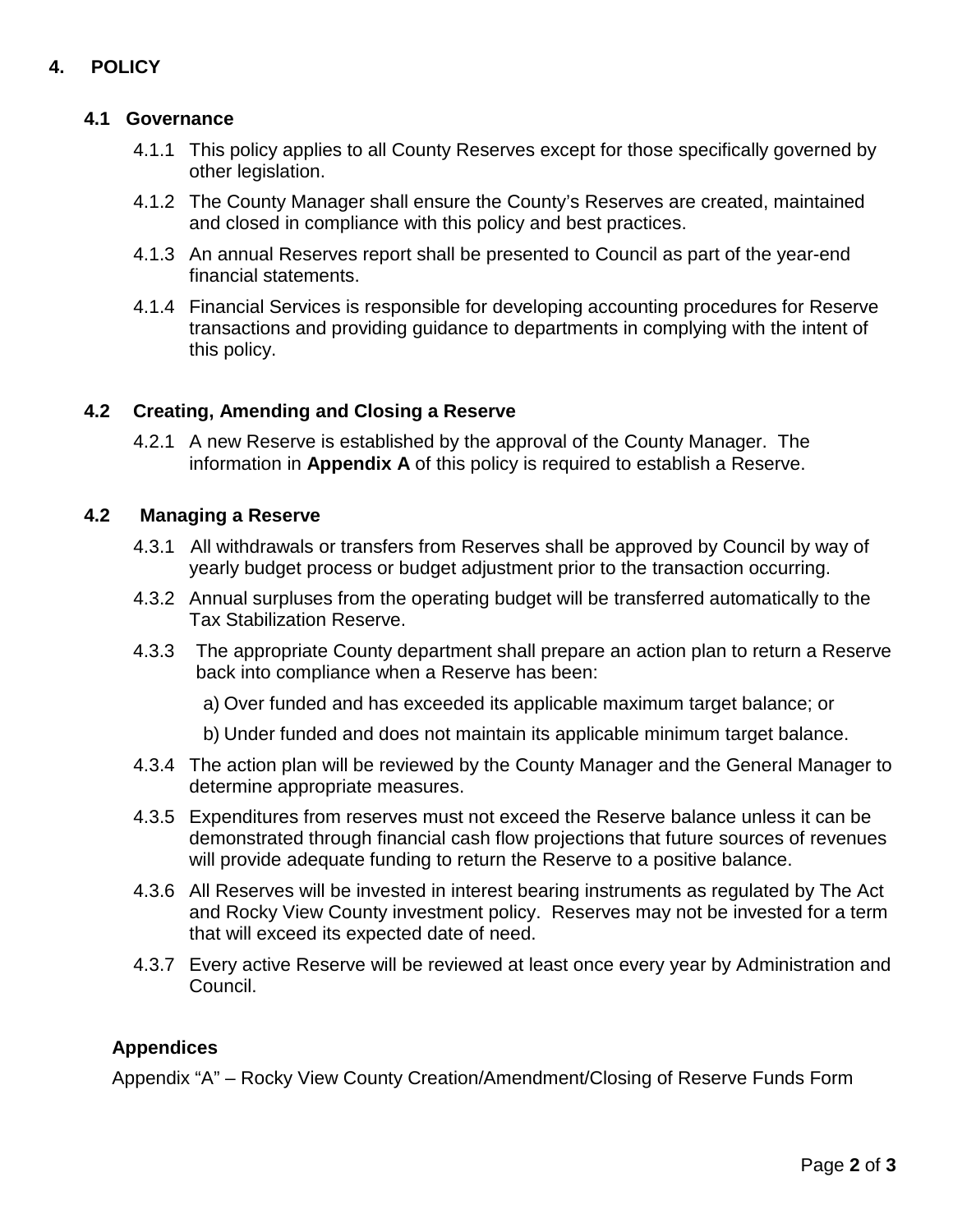# **4. POLICY**

## **4.1 Governance**

- 4.1.1 This policy applies to all County Reserves except for those specifically governed by other legislation.
- 4.1.2 The County Manager shall ensure the County's Reserves are created, maintained and closed in compliance with this policy and best practices.
- 4.1.3 An annual Reserves report shall be presented to Council as part of the year-end financial statements.
- 4.1.4 Financial Services is responsible for developing accounting procedures for Reserve transactions and providing guidance to departments in complying with the intent of this policy.

### **4.2 Creating, Amending and Closing a Reserve**

4.2.1 A new Reserve is established by the approval of the County Manager.The information in **Appendix A** of this policy is required to establish a Reserve.

#### **4.2 Managing a Reserve**

- 4.3.1 All withdrawals or transfers from Reserves shall be approved by Council by way of yearly budget process or budget adjustment prior to the transaction occurring.
- 4.3.2 Annual surpluses from the operating budget will be transferred automatically to the Tax Stabilization Reserve.
- 4.3.3 The appropriate County department shall prepare an action plan to return a Reserve back into compliance when a Reserve has been:
	- a) Over funded and has exceeded its applicable maximum target balance; or
	- b) Under funded and does not maintain its applicable minimum target balance.
- 4.3.4 The action plan will be reviewed by the County Manager and the General Manager to determine appropriate measures.
- 4.3.5 Expenditures from reserves must not exceed the Reserve balance unless it can be demonstrated through financial cash flow projections that future sources of revenues will provide adequate funding to return the Reserve to a positive balance.
- 4.3.6 All Reserves will be invested in interest bearing instruments as regulated by The Act and Rocky View County investment policy. Reserves may not be invested for a term that will exceed its expected date of need.
- 4.3.7 Every active Reserve will be reviewed at least once every year by Administration and Council.

## **Appendices**

Appendix "A" – Rocky View County Creation/Amendment/Closing of Reserve Funds Form